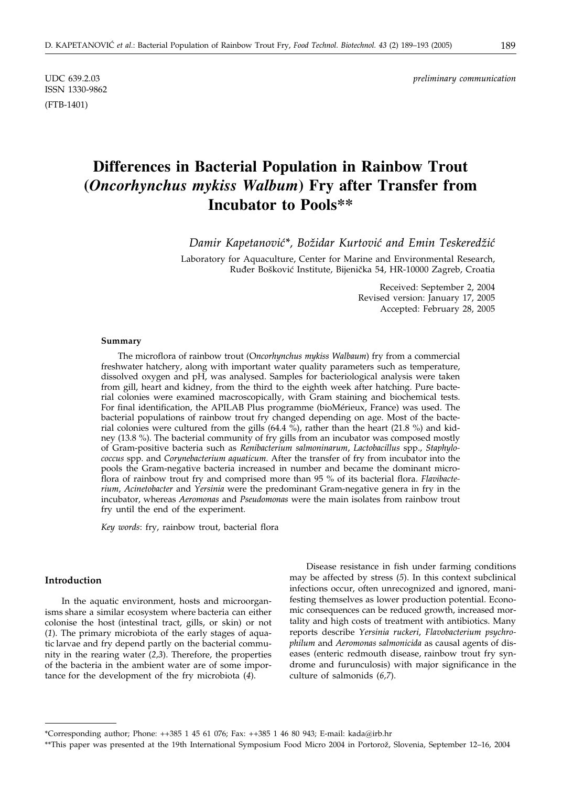ISSN 1330-9862 (FTB-1401)

# **Differences in Bacterial Population in Rainbow Trout (***Oncorhynchus mykiss Walbum***) Fry after Transfer from Incubator to Pools\*\***

*Damir Kapetanovi}\*, Bo`idar Kurtovi} and Emin Teskered`i}*

Laboratory for Aquaculture, Center for Marine and Environmental Research, Ruđer Bošković Institute, Bijenička 54, HR-10000 Zagreb, Croatia

> Received: September 2, 2004 Revised version: January 17, 2005 Accepted: February 28, 2005

#### **Summary**

The microflora of rainbow trout (O*ncorhynchus mykiss Walbaum*) fry from a commercial freshwater hatchery, along with important water quality parameters such as temperature, dissolved oxygen and pH, was analysed. Samples for bacteriological analysis were taken from gill, heart and kidney, from the third to the eighth week after hatching. Pure bacterial colonies were examined macroscopically, with Gram staining and biochemical tests. For final identification, the APILAB Plus programme (bioMérieux, France) was used. The bacterial populations of rainbow trout fry changed depending on age. Most of the bacterial colonies were cultured from the gills  $(64.4\%)$ , rather than the heart (21.8 %) and kidney (13.8 %). The bacterial community of fry gills from an incubator was composed mostly of Gram-positive bacteria such as *Renibacterium salmoninarum*, *Lactobacillus* spp., *Staphylococcus* spp. and *Corynebacterium aquaticum*. After the transfer of fry from incubator into the pools the Gram-negative bacteria increased in number and became the dominant microflora of rainbow trout fry and comprised more than 95 % of its bacterial flora. *Flavibacterium*, *Acinetobacter* and *Yersinia* were the predominant Gram-negative genera in fry in the incubator, whereas *Aeromonas* and *Pseudomonas* were the main isolates from rainbow trout fry until the end of the experiment.

*Key words*: fry, rainbow trout, bacterial flora

## **Introduction**

In the aquatic environment, hosts and microorganisms share a similar ecosystem where bacteria can either colonise the host (intestinal tract, gills, or skin) or not (*1*). The primary microbiota of the early stages of aquatic larvae and fry depend partly on the bacterial community in the rearing water (*2,3*). Therefore, the properties of the bacteria in the ambient water are of some importance for the development of the fry microbiota (*4*).

Disease resistance in fish under farming conditions may be affected by stress (*5*). In this context subclinical infections occur, often unrecognized and ignored, manifesting themselves as lower production potential. Economic consequences can be reduced growth, increased mortality and high costs of treatment with antibiotics. Many reports describe *Yersinia ruckeri*, *Flavobacterium psychrophilum* and *Aeromonas salmonicida* as causal agents of diseases (enteric redmouth disease, rainbow trout fry syndrome and furunculosis) with major significance in the culture of salmonids (*6,7*).

<sup>\*</sup>Corresponding author; Phone: ++385 1 45 61 076; Fax: ++385 1 46 80 943; E-mail: kada*@*irb.hr

<sup>\*\*</sup>This paper was presented at the 19th International Symposium Food Micro 2004 in Portorož, Slovenia, September 12–16, 2004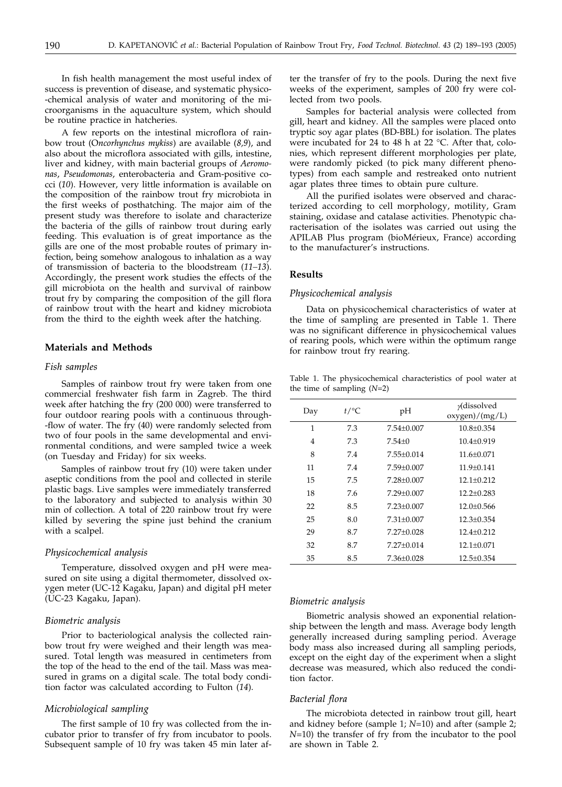In fish health management the most useful index of success is prevention of disease, and systematic physico- -chemical analysis of water and monitoring of the microorganisms in the aquaculture system, which should be routine practice in hatcheries.

A few reports on the intestinal microflora of rainbow trout (O*ncorhynchus mykiss*) are available (*8,9*), and also about the microflora associated with gills, intestine, liver and kidney, with main bacterial groups of *Aeromonas*, *Pseudomonas*, enterobacteria and Gram-positive cocci (*10*). However, very little information is available on the composition of the rainbow trout fry microbiota in the first weeks of posthatching. The major aim of the present study was therefore to isolate and characterize the bacteria of the gills of rainbow trout during early feeding. This evaluation is of great importance as the gills are one of the most probable routes of primary infection, being somehow analogous to inhalation as a way of transmission of bacteria to the bloodstream (*11–13*). Accordingly, the present work studies the effects of the gill microbiota on the health and survival of rainbow trout fry by comparing the composition of the gill flora of rainbow trout with the heart and kidney microbiota from the third to the eighth week after the hatching.

#### **Materials and Methods**

## *Fish samples*

Samples of rainbow trout fry were taken from one commercial freshwater fish farm in Zagreb. The third week after hatching the fry (200 000) were transferred to four outdoor rearing pools with a continuous through- -flow of water. The fry (40) were randomly selected from two of four pools in the same developmental and environmental conditions, and were sampled twice a week (on Tuesday and Friday) for six weeks.

Samples of rainbow trout fry (10) were taken under aseptic conditions from the pool and collected in sterile plastic bags. Live samples were immediately transferred to the laboratory and subjected to analysis within 30 min of collection. A total of 220 rainbow trout fry were killed by severing the spine just behind the cranium with a scalpel.

## *Physicochemical analysis*

Temperature, dissolved oxygen and pH were measured on site using a digital thermometer, dissolved oxygen meter (UC-12 Kagaku, Japan) and digital pH meter (UC-23 Kagaku, Japan).

#### *Biometric analysis*

Prior to bacteriological analysis the collected rainbow trout fry were weighed and their length was measured. Total length was measured in centimeters from the top of the head to the end of the tail. Mass was measured in grams on a digital scale. The total body condition factor was calculated according to Fulton (*14*).

### *Microbiological sampling*

The first sample of 10 fry was collected from the incubator prior to transfer of fry from incubator to pools. Subsequent sample of 10 fry was taken 45 min later af-

ter the transfer of fry to the pools. During the next five weeks of the experiment, samples of 200 fry were collected from two pools.

Samples for bacterial analysis were collected from gill, heart and kidney. All the samples were placed onto tryptic soy agar plates (BD-BBL) for isolation. The plates were incubated for 24 to 48 h at 22 °C. After that, colonies, which represent different morphologies per plate, were randomly picked (to pick many different phenotypes) from each sample and restreaked onto nutrient agar plates three times to obtain pure culture.

All the purified isolates were observed and characterized according to cell morphology, motility, Gram staining, oxidase and catalase activities. Phenotypic characterisation of the isolates was carried out using the APILAB Plus program (bioMérieux, France) according to the manufacturer's instructions.

#### **Results**

#### *Physicochemical analysis*

Data on physicochemical characteristics of water at the time of sampling are presented in Table 1. There was no significant difference in physicochemical values of rearing pools, which were within the optimum range for rainbow trout fry rearing.

Table 1. The physicochemical characteristics of pool water at the time of sampling (*N*=2)

| Day | $t$ / $\rm ^{\circ}C$ | pH             | <i>A</i> dissolved<br>oxygen)/(mg/L) |  |  |  |  |  |
|-----|-----------------------|----------------|--------------------------------------|--|--|--|--|--|
| 1   | 7.3                   | $7.54+0.007$   | $10.8 + 0.354$                       |  |  |  |  |  |
| 4   | 7.3                   | $7.54+0$       | 10.4±0.919                           |  |  |  |  |  |
| 8   | 7.4                   | $7.55+0.014$   | $11.6 + 0.071$                       |  |  |  |  |  |
| 11  | 7.4                   | $7.59 + 0.007$ | $11.9 + 0.141$                       |  |  |  |  |  |
| 15  | 7.5                   | $7.28 + 0.007$ | $12.1 + 0.212$                       |  |  |  |  |  |
| 18  | 7.6                   | 7.29±0.007     | $12.2 + 0.283$                       |  |  |  |  |  |
| 22  | 8.5                   | $7.23 + 0.007$ | $12.0 + 0.566$                       |  |  |  |  |  |
| 25  | 8.0                   | $7.31 + 0.007$ | $12.3 + 0.354$                       |  |  |  |  |  |
| 29  | 8.7                   | $7.27+0.028$   | $12.4 + 0.212$                       |  |  |  |  |  |
| 32  | 8.7                   | $7.27+0.014$   | $12.1 + 0.071$                       |  |  |  |  |  |
| 35  | 8.5                   | 7.36±0.028     | 12.5±0.354                           |  |  |  |  |  |

#### *Biometric analysis*

Biometric analysis showed an exponential relationship between the length and mass. Average body length generally increased during sampling period. Average body mass also increased during all sampling periods, except on the eight day of the experiment when a slight decrease was measured, which also reduced the condition factor.

#### *Bacterial flora*

The microbiota detected in rainbow trout gill, heart and kidney before (sample 1; *N*=10) and after (sample 2; *N*=10) the transfer of fry from the incubator to the pool are shown in Table 2.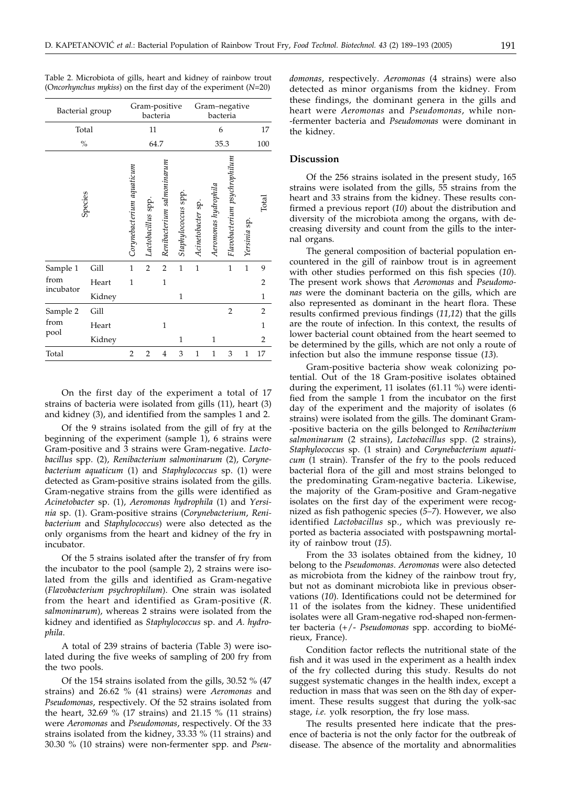| Bacterial group   |                           | Gram-positive<br>bacteria |                            |                     | Gram-negative    |                      |                              |                |              |                |
|-------------------|---------------------------|---------------------------|----------------------------|---------------------|------------------|----------------------|------------------------------|----------------|--------------|----------------|
| Total             |                           | 11                        |                            |                     |                  | 6                    |                              |                | 17           |                |
| $\%$              |                           |                           | 64.7                       |                     |                  | 35.3                 |                              |                | 100          |                |
| Species           | Corynebacterium aquaticum | Lactobacillus spp.        | Renibacterium salmoninarum | Staphylococcus spp. | Acinetobacter sp | Aeromonas hydrophila | Flavobacterium psychrophilum | Yersinia sp.   | Total        |                |
| Sample 1          | Gill                      | $\mathbf{1}$              | $\overline{2}$             | $\overline{2}$      | $\mathbf{1}$     | $\mathbf{1}$         |                              | $\mathbf{1}$   | $\mathbf{1}$ | 9              |
| from<br>incubator | Heart                     | $\mathbf{1}$              |                            | 1                   |                  |                      |                              |                |              | $\overline{2}$ |
|                   | Kidney                    |                           |                            |                     | $\mathbf{1}$     |                      |                              |                |              | $\mathbf{1}$   |
| Sample 2          | Gill                      |                           |                            |                     |                  |                      |                              | $\overline{2}$ |              | $\overline{2}$ |
| from              | Heart                     |                           |                            | $\mathbf{1}$        |                  |                      |                              |                |              | 1              |
| pool              | Kidney                    |                           |                            |                     | $\mathbf{1}$     |                      | $\mathbf 1$                  |                |              | $\overline{2}$ |
| Total             |                           | $\overline{2}$            | $\overline{2}$             | 4                   | 3                | 1                    | $\mathbf{1}$                 | 3              | $\mathbf{1}$ | 17             |

Table 2. Microbiota of gills, heart and kidney of rainbow trout (O*ncorhynchus mykiss*) on the first day of the experiment (*N*=20)

On the first day of the experiment a total of 17 strains of bacteria were isolated from gills (11), heart (3) and kidney (3), and identified from the samples 1 and 2.

Of the 9 strains isolated from the gill of fry at the beginning of the experiment (sample 1), 6 strains were Gram-positive and 3 strains were Gram-negative. *Lactobacillus* spp. (2), *Renibacterium salmoninarum* (2), *Corynebacterium aquaticum* (1) and *Staphylococcus* sp. (1) were detected as Gram-positive strains isolated from the gills. Gram-negative strains from the gills were identified as *Acinetobacter* sp. (1), *Aeromonas hydrophila* (1) and *Yersinia* sp. (1). Gram-positive strains (*Corynebacterium*, *Renibacterium* and *Staphylococcus*) were also detected as the only organisms from the heart and kidney of the fry in incubator.

Of the 5 strains isolated after the transfer of fry from the incubator to the pool (sample 2), 2 strains were isolated from the gills and identified as Gram-negative (*Flavobacterium psychrophilum*). One strain was isolated from the heart and identified as Gram-positive (*R. salmoninarum*), whereas 2 strains were isolated from the kidney and identified as *Staphylococcus* sp. and *A. hydrophila*.

A total of 239 strains of bacteria (Table 3) were isolated during the five weeks of sampling of 200 fry from the two pools.

Of the 154 strains isolated from the gills, 30.52 % (47 strains) and 26.62 % (41 strains) were *Aeromonas* and *Pseudomonas*, respectively. Of the 52 strains isolated from the heart, 32.69 % (17 strains) and 21.15 % (11 strains) were *Aeromonas* and *Pseudomonas*, respectively. Of the 33 strains isolated from the kidney, 33.33 % (11 strains) and 30.30 % (10 strains) were non-fermenter spp. and *Pseu-* *domonas*, respectively. *Aeromonas* (4 strains) were also detected as minor organisms from the kidney. From these findings, the dominant genera in the gills and heart were *Aeromonas* and *Pseudomonas*, while non- -fermenter bacteria and *Pseudomonas* were dominant in the kidney.

#### **Discussion**

Of the 256 strains isolated in the present study, 165 strains were isolated from the gills, 55 strains from the heart and 33 strains from the kidney. These results confirmed a previous report (*10*) about the distribution and diversity of the microbiota among the organs, with decreasing diversity and count from the gills to the internal organs.

The general composition of bacterial population encountered in the gill of rainbow trout is in agreement with other studies performed on this fish species (*10*). The present work shows that *Aeromonas* and *Pseudomonas* were the dominant bacteria on the gills, which are also represented as dominant in the heart flora. These results confirmed previous findings (*11,12*) that the gills are the route of infection. In this context, the results of lower bacterial count obtained from the heart seemed to be determined by the gills, which are not only a route of infection but also the immune response tissue (*13*).

Gram-positive bacteria show weak colonizing potential. Out of the 18 Gram-positive isolates obtained during the experiment, 11 isolates (61.11 %) were identified from the sample 1 from the incubator on the first day of the experiment and the majority of isolates (6 strains) were isolated from the gills. The dominant Gram- -positive bacteria on the gills belonged to *Renibacterium salmoninarum* (2 strains), *Lactobacillus* spp. (2 strains), *Staphylococcus* sp. (1 strain) and *Corynebacterium aquaticum* (1 strain). Transfer of the fry to the pools reduced bacterial flora of the gill and most strains belonged to the predominating Gram-negative bacteria. Likewise, the majority of the Gram-positive and Gram-negative isolates on the first day of the experiment were recognized as fish pathogenic species (*5–7*). However, we also identified *Lactobacillus* sp., which was previously reported as bacteria associated with postspawning mortality of rainbow trout (*15*).

From the 33 isolates obtained from the kidney, 10 belong to the *Pseudomonas*. *Aeromonas* were also detected as microbiota from the kidney of the rainbow trout fry, but not as dominant microbiota like in previous observations (*10*). Identifications could not be determined for 11 of the isolates from the kidney. These unidentified isolates were all Gram-negative rod-shaped non-fermenter bacteria (+/- *Pseudomonas* spp. according to bioMérieux, France).

Condition factor reflects the nutritional state of the fish and it was used in the experiment as a health index of the fry collected during this study. Results do not suggest systematic changes in the health index, except a reduction in mass that was seen on the 8th day of experiment. These results suggest that during the yolk-sac stage, *i.e.* yolk resorption, the fry lose mass.

The results presented here indicate that the presence of bacteria is not the only factor for the outbreak of disease. The absence of the mortality and abnormalities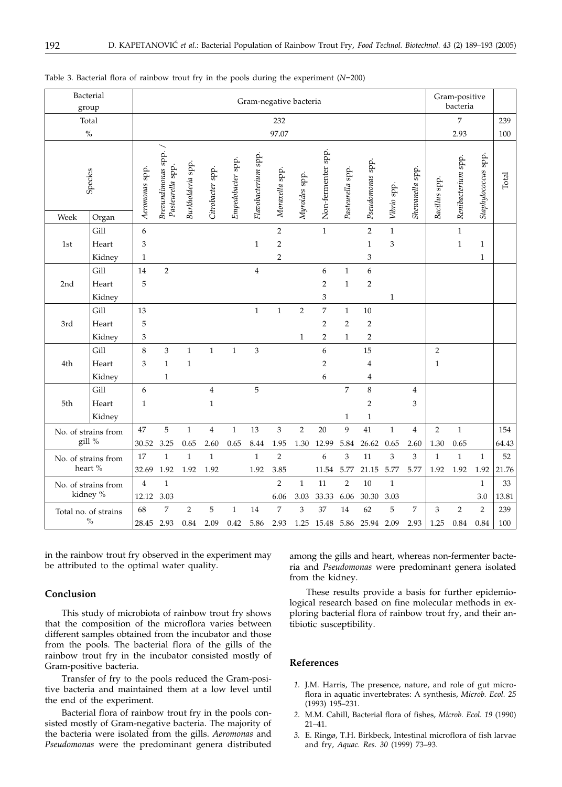|                                    | Bacterial<br>group  | Gram-negative bacteria |                                        |                   |                  |                   |                     |                  |                | Gram-positive<br>bacteria |                  |                  |                |                 |                           |                    |                     |       |
|------------------------------------|---------------------|------------------------|----------------------------------------|-------------------|------------------|-------------------|---------------------|------------------|----------------|---------------------------|------------------|------------------|----------------|-----------------|---------------------------|--------------------|---------------------|-------|
| Total                              |                     | 232                    |                                        |                   |                  |                   |                     |                  |                |                           |                  |                  | $\overline{7}$ |                 |                           | 239                |                     |       |
| $\mathbf{O}_{\mathbf{O}}^{\prime}$ |                     | 97.07                  |                                        |                   |                  |                   |                     |                  |                |                           |                  |                  |                | 2.93            |                           |                    | 100                 |       |
| Species                            |                     | Aeromonas spp.         | Brevundimonas spp.<br>Pasteurella spp. | Burkholderia spp. | Citrobacter spp. | Empedobacter spp. | Flavobacterium spp. | Moraxella spp.   | Myroides spp.  | Non-fermenter spp.        | Pasteurella spp. | Pseudomonas spp. | Vibrio spp.    | Shewanella spp. | Bacillus spp.             | Renibacterium spp. | Staphylococcus spp. | Total |
| Week                               | Organ               |                        |                                        |                   |                  |                   |                     |                  |                |                           |                  |                  |                |                 |                           |                    |                     |       |
|                                    | Gill                | 6                      |                                        |                   |                  |                   |                     | $\overline{2}$   |                | $\mathbf{1}$              |                  | $\overline{2}$   | $\mathbf{1}$   |                 |                           | $\mathbf{1}$       |                     |       |
| 1st                                | Heart               | 3                      |                                        |                   |                  |                   | $\mathbf{1}$        | $\overline{2}$   |                |                           |                  | $\mathbf{1}$     | 3              |                 |                           | $\mathbf{1}$       | $\mathbf{1}$        |       |
|                                    | Kidney              | $\mathbf{1}$           |                                        |                   |                  |                   |                     | $\overline{2}$   |                |                           |                  | 3                |                |                 |                           |                    | $\mathbf{1}$        |       |
|                                    | Gill                | 14                     | $\overline{2}$                         |                   |                  |                   | $\overline{4}$      |                  |                | 6                         | $\mathbf{1}$     | 6                |                |                 |                           |                    |                     |       |
| 2nd                                | Heart               | 5                      |                                        |                   |                  |                   |                     |                  |                | $\overline{2}$            | $\mathbf{1}$     | $\overline{2}$   |                |                 |                           |                    |                     |       |
|                                    | Kidney              |                        |                                        |                   |                  |                   |                     |                  |                | 3                         |                  |                  | $\mathbf{1}$   |                 |                           |                    |                     |       |
|                                    | Gill                | 13                     |                                        |                   |                  |                   | $\mathbf{1}$        | $\mathbf{1}$     | $\overline{2}$ | 7                         | $\mathbf{1}$     | 10               |                |                 |                           |                    |                     |       |
| 3rd                                | Heart               | 5                      |                                        |                   |                  |                   |                     |                  |                | $\overline{2}$            | $\overline{2}$   | $\overline{2}$   |                |                 |                           |                    |                     |       |
|                                    | Kidney              | 3                      |                                        |                   |                  |                   |                     |                  | $\mathbf{1}$   | $\overline{2}$            | $\mathbf{1}$     | $\overline{2}$   |                |                 |                           |                    |                     |       |
|                                    | Gill                | 8                      | 3                                      | $\mathbf{1}$      | $\mathbf{1}$     | $\mathbf{1}$      | 3                   |                  |                | 6                         |                  | 15               |                |                 | $\sqrt{2}$                |                    |                     |       |
| 4th                                | Heart               | 3                      | $\mathbf{1}$                           | $\mathbf{1}$      |                  |                   |                     |                  |                | $\overline{2}$            |                  | $\overline{4}$   |                |                 | $\mathbf{1}$              |                    |                     |       |
|                                    | Kidney              |                        | $\mathbf{1}$                           |                   |                  |                   |                     |                  |                | 6                         |                  | 4                |                |                 |                           |                    |                     |       |
|                                    | Gill                | 6                      |                                        |                   | $\overline{4}$   |                   | 5                   |                  |                |                           | $\overline{7}$   | $\,8\,$          |                | $\overline{4}$  |                           |                    |                     |       |
| 5th                                | Heart               | 1                      |                                        |                   | $\mathbf{1}$     |                   |                     |                  |                |                           |                  | $\overline{2}$   |                | 3               |                           |                    |                     |       |
|                                    | Kidney              |                        |                                        |                   |                  |                   |                     |                  |                |                           | 1                | 1                |                |                 |                           |                    |                     |       |
| No. of strains from<br>gill %      |                     | 47                     | 5                                      | $\mathbf{1}$      | $\bf{4}$         | $\,1\,$           | 13                  | $\mathfrak{Z}$   | $\overline{2}$ | 20                        | 9                | 41               | $\mathbf{1}$   | $\overline{4}$  | $\overline{2}$            | $\mathbf{1}$       |                     | 154   |
|                                    |                     | 30.52                  | 3.25                                   | 0.65              | 2.60             | 0.65              | 8.44                | 1.95             | 1.30           | 12.99                     | 5.84             | 26.62            | 0.65           | 2.60            | 1.30                      | 0.65               |                     | 64.43 |
|                                    | No. of strains from | 17                     | $\mathbf{1}$                           | $\mathbf{1}$      | $\mathbf{1}$     |                   | $\mathbf{1}$        | $\overline{2}$   |                | 6                         | 3                | 11               | 3              | 3               | $\mathbf{1}$              | $\mathbf{1}$       | $\mathbf{1}$        | 52    |
| heart $\%$                         |                     | 32.69                  | 1.92                                   | 1.92              | 1.92             |                   | 1.92                | 3.85             |                | 11.54                     | 5.77             | 21.15            | 5.77           | 5.77            | 1.92                      | 1.92               | 1.92                | 21.76 |
|                                    | No. of strains from | $\overline{4}$         | $1\,$                                  |                   |                  |                   |                     | $\overline{2}$   | $\mathbf{1}$   | 11                        | $\overline{2}$   | 10               | $\mathbf{1}$   |                 |                           |                    | $\mathbf{1}$        | 33    |
| kidney %                           |                     | 12.12                  | 3.03                                   |                   |                  |                   |                     | 6.06             | 3.03           | 33.33                     | 6.06             | 30.30            | 3.03           |                 |                           |                    | 3.0                 | 13.81 |
| Total no. of strains<br>$\%$       |                     | 68                     | $\overline{7}$                         | $\,2$             | 5                | $\,1\,$           | 14                  | $\boldsymbol{7}$ | 3              | 37                        | 14               | 62               | 5              | $\overline{7}$  | $\ensuremath{\mathsf{3}}$ | $\sqrt{2}$         | $\overline{2}$      | 239   |
|                                    |                     | 28.45                  | 2.93                                   | 0.84              | 2.09             | 0.42              | 5.86                | 2.93             | 1.25           | 15.48                     | 5.86             | 25.94            | 2.09           | 2.93            | 1.25                      | 0.84               | 0.84                | 100   |

Table 3. Bacterial flora of rainbow trout fry in the pools during the experiment (*N*=200)

in the rainbow trout fry observed in the experiment may be attributed to the optimal water quality.

## **Conclusion**

This study of microbiota of rainbow trout fry shows that the composition of the microflora varies between different samples obtained from the incubator and those from the pools. The bacterial flora of the gills of the rainbow trout fry in the incubator consisted mostly of Gram-positive bacteria.

Transfer of fry to the pools reduced the Gram-positive bacteria and maintained them at a low level until the end of the experiment.

Bacterial flora of rainbow trout fry in the pools consisted mostly of Gram-negative bacteria. The majority of the bacteria were isolated from the gills. *Aeromonas* and *Pseudomonas* were the predominant genera distributed among the gills and heart, whereas non-fermenter bacteria and *Pseudomonas* were predominant genera isolated from the kidney.

These results provide a basis for further epidemiological research based on fine molecular methods in exploring bacterial flora of rainbow trout fry, and their antibiotic susceptibility.

## **References**

- *1.* J.M. Harris, The presence, nature, and role of gut microflora in aquatic invertebrates: A synthesis, *Microb. Ecol. 25* (1993) 195–231.
- *2.* M.M. Cahill, Bacterial flora of fishes, *Microb. Ecol. 19* (1990) 21–41.
- *3.* E. Ringø, T.H. Birkbeck, Intestinal microflora of fish larvae and fry, *Aquac. Res. 30* (1999) 73–93.